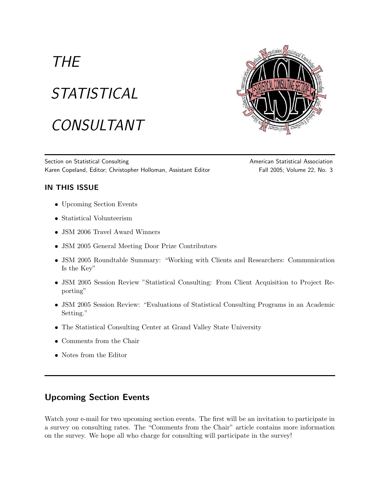# **THE STATISTICAL** CONSULTANT



Section on Statistical Consulting and American Statistical Association Statistical Association Karen Copeland, Editor; Christopher Holloman, Assistant Editor Fall 2005; Volume 22, No. 3

## IN THIS ISSUE

- Upcoming Section Events
- Statistical Volunteerism
- JSM 2006 Travel Award Winners
- JSM 2005 General Meeting Door Prize Contributors
- JSM 2005 Roundtable Summary: "Working with Clients and Researchers: Communication Is the Key"
- JSM 2005 Session Review "Statistical Consulting: From Client Acquisition to Project Reporting"
- JSM 2005 Session Review: "Evaluations of Statistical Consulting Programs in an Academic Setting."
- The Statistical Consulting Center at Grand Valley State University
- Comments from the Chair
- Notes from the Editor

# Upcoming Section Events

Watch your e-mail for two upcoming section events. The first will be an invitation to participate in a survey on consulting rates. The "Comments from the Chair" article contains more information on the survey. We hope all who charge for consulting will participate in the survey!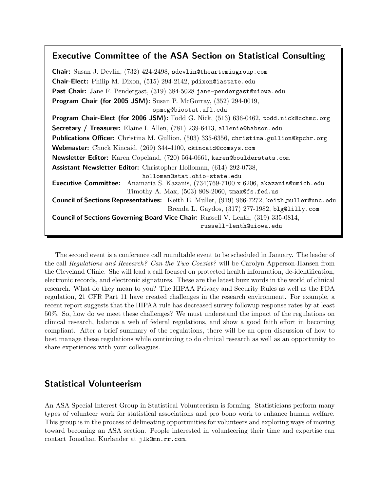## Executive Committee of the ASA Section on Statistical Consulting

Chair: Susan J. Devlin, (732) 424-2498, sdevlin@theartemisgroup.com Chair-Elect: Philip M. Dixon, (515) 294-2142, pdixon@iastate.edu Past Chair: Jane F. Pendergast, (319) 384-5028 jane-pendergast@uiowa.edu Program Chair (for 2005 JSM): Susan P. McGorray, (352) 294-0019, spmcg@biostat.ufl.edu Program Chair-Elect (for 2006 JSM): Todd G. Nick, (513) 636-0462, todd.nick@cchmc.org Secretary / Treasurer: Elaine I. Allen, (781) 239-6413, allenie@babson.edu Publications Officer: Christina M. Gullion, (503) 335-6356, christina.gullion@kpchr.org Webmaster: Chuck Kincaid, (269) 344-4100, ckincaid@comsys.com Newsletter Editor: Karen Copeland, (720) 564-0661, karen@boulderstats.com Assistant Newsletter Editor: Christopher Holloman, (614) 292-0738, holloman@stat.ohio-state.edu Executive Committee: Anamaria S. Kazanis, (734)769-7100 x 6206, akazanis@umich.edu Timothy A. Max, (503) 808-2060, tmax@fs.fed.us Council of Sections Representatives: Keith E. Muller, (919) 966-7272, keith muller@unc.edu Brenda L. Gaydos, (317) 277-1982, blg@lilly.com Council of Sections Governing Board Vice Chair: Russell V. Lenth, (319) 335-0814, russell-lenth@uiowa.edu

The second event is a conference call roundtable event to be scheduled in January. The leader of the call Regulations and Research? Can the Two Coexist? will be Carolyn Apperson-Hansen from the Cleveland Clinic. She will lead a call focused on protected health information, de-identification, electronic records, and electronic signatures. These are the latest buzz words in the world of clinical research. What do they mean to you? The HIPAA Privacy and Security Rules as well as the FDA regulation, 21 CFR Part 11 have created challenges in the research environment. For example, a recent report suggests that the HIPAA rule has decreased survey followup response rates by at least 50%. So, how do we meet these challenges? We must understand the impact of the regulations on clinical research, balance a web of federal regulations, and show a good faith effort in becoming compliant. After a brief summary of the regulations, there will be an open discussion of how to best manage these regulations while continuing to do clinical research as well as an opportunity to share experiences with your colleagues.

## Statistical Volunteerism

An ASA Special Interest Group in Statistical Volunteerism is forming. Statisticians perform many types of volunteer work for statistical associations and pro bono work to enhance human welfare. This group is in the process of delineating opportunities for volunteers and exploring ways of moving toward becoming an ASA section. People interested in volunteering their time and expertise can contact Jonathan Kurlander at jlk@mn.rr.com.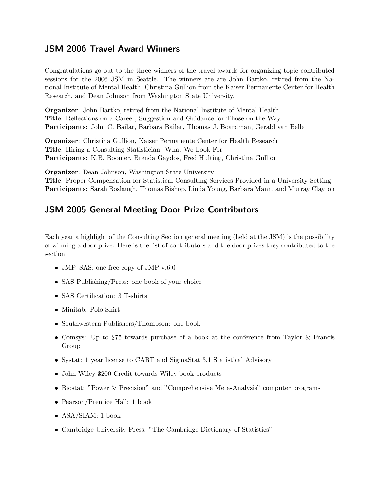## JSM 2006 Travel Award Winners

Congratulations go out to the three winners of the travel awards for organizing topic contributed sessions for the 2006 JSM in Seattle. The winners are are John Bartko, retired from the National Institute of Mental Health, Christina Gullion from the Kaiser Permanente Center for Health Research, and Dean Johnson from Washington State University.

Organizer: John Bartko, retired from the National Institute of Mental Health Title: Reflections on a Career, Suggestion and Guidance for Those on the Way Participants: John C. Bailar, Barbara Bailar, Thomas J. Boardman, Gerald van Belle

Organizer: Christina Gullion, Kaiser Permanente Center for Health Research Title: Hiring a Consulting Statistician: What We Look For Participants: K.B. Boomer, Brenda Gaydos, Fred Hulting, Christina Gullion

Organizer: Dean Johnson, Washington State University

Title: Proper Compensation for Statistical Consulting Services Provided in a University Setting Participants: Sarah Boslaugh, Thomas Bishop, Linda Young, Barbara Mann, and Murray Clayton

## JSM 2005 General Meeting Door Prize Contributors

Each year a highlight of the Consulting Section general meeting (held at the JSM) is the possibility of winning a door prize. Here is the list of contributors and the door prizes they contributed to the section.

- JMP–SAS: one free copy of JMP v.6.0
- SAS Publishing/Press: one book of your choice
- SAS Certification: 3 T-shirts
- Minitab: Polo Shirt
- Southwestern Publishers/Thompson: one book
- Comsys: Up to \$75 towards purchase of a book at the conference from Taylor & Francis Group
- Systat: 1 year license to CART and SigmaStat 3.1 Statistical Advisory
- John Wiley 200 Credit towards Wiley book products
- Biostat: "Power & Precision" and "Comprehensive Meta-Analysis" computer programs
- Pearson/Prentice Hall: 1 book
- ASA/SIAM: 1 book
- Cambridge University Press: "The Cambridge Dictionary of Statistics"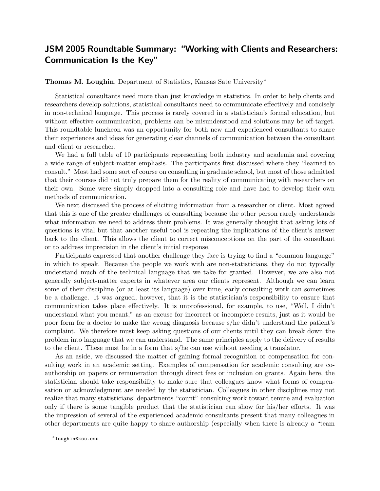## JSM 2005 Roundtable Summary: "Working with Clients and Researchers: Communication Is the Key"

## Thomas M. Loughin, Department of Statistics, Kansas Sate University<sup>\*</sup>

Statistical consultants need more than just knowledge in statistics. In order to help clients and researchers develop solutions, statistical consultants need to communicate effectively and concisely in non-technical language. This process is rarely covered in a statistician's formal education, but without effective communication, problems can be misunderstood and solutions may be off-target. This roundtable luncheon was an opportunity for both new and experienced consultants to share their experiences and ideas for generating clear channels of communication between the consultant and client or researcher.

We had a full table of 10 participants representing both industry and academia and covering a wide range of subject-matter emphasis. The participants first discussed where they "learned to consult." Most had some sort of course on consulting in graduate school, but most of those admitted that their courses did not truly prepare them for the reality of communicating with researchers on their own. Some were simply dropped into a consulting role and have had to develop their own methods of communication.

We next discussed the process of eliciting information from a researcher or client. Most agreed that this is one of the greater challenges of consulting because the other person rarely understands what information we need to address their problems. It was generally thought that asking lots of questions is vital but that another useful tool is repeating the implications of the client's answer back to the client. This allows the client to correct misconceptions on the part of the consultant or to address imprecision in the client's initial response.

Participants expressed that another challenge they face is trying to find a "common language" in which to speak. Because the people we work with are non-statisticians, they do not typically understand much of the technical language that we take for granted. However, we are also not generally subject-matter experts in whatever area our clients represent. Although we can learn some of their discipline (or at least its language) over time, early consulting work can sometimes be a challenge. It was argued, however, that it is the statistician's responsibility to ensure that communication takes place effectively. It is unprofessional, for example, to use, "Well, I didn't understand what you meant," as an excuse for incorrect or incomplete results, just as it would be poor form for a doctor to make the wrong diagnosis because s/he didn't understand the patient's complaint. We therefore must keep asking questions of our clients until they can break down the problem into language that we can understand. The same principles apply to the delivery of results to the client. These must be in a form that s/he can use without needing a translator.

As an aside, we discussed the matter of gaining formal recognition or compensation for consulting work in an academic setting. Examples of compensation for academic consulting are coauthorship on papers or remuneration through direct fees or inclusion on grants. Again here, the statistician should take responsibility to make sure that colleagues know what forms of compensation or acknowledgment are needed by the statistician. Colleagues in other disciplines may not realize that many statisticians' departments "count" consulting work toward tenure and evaluation only if there is some tangible product that the statistician can show for his/her efforts. It was the impression of several of the experienced academic consultants present that many colleagues in other departments are quite happy to share authorship (especially when there is already a "team

<sup>∗</sup> loughin@ksu.edu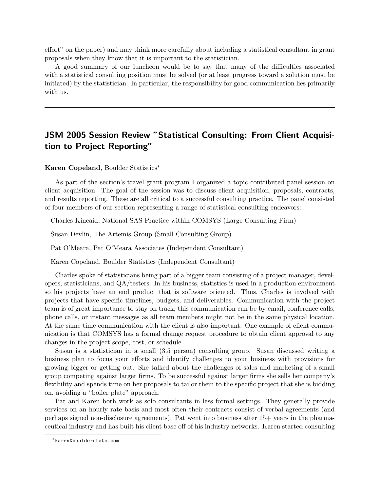effort" on the paper) and may think more carefully about including a statistical consultant in grant proposals when they know that it is important to the statistician.

A good summary of our luncheon would be to say that many of the difficulties associated with a statistical consulting position must be solved (or at least progress toward a solution must be initiated) by the statistician. In particular, the responsibility for good communication lies primarily with us.

## JSM 2005 Session Review "Statistical Consulting: From Client Acquisition to Project Reporting"

Karen Copeland, Boulder Statistics<sup>∗</sup>

As part of the section's travel grant program I organized a topic contributed panel session on client acquisition. The goal of the session was to discuss client acquisition, proposals, contracts, and results reporting. These are all critical to a successful consulting practice. The panel consisted of four members of our section representing a range of statistical consulting endeavors:

Charles Kincaid, National SAS Practice within COMSYS (Large Consulting Firm)

Susan Devlin, The Artemis Group (Small Consulting Group)

Pat O'Meara, Pat O'Meara Associates (Independent Consultant)

Karen Copeland, Boulder Statistics (Independent Consultant)

Charles spoke of statisticians being part of a bigger team consisting of a project manager, developers, statisticians, and QA/testers. In his business, statistics is used in a production environment so his projects have an end product that is software oriented. Thus, Charles is involved with projects that have specific timelines, budgets, and deliverables. Communication with the project team is of great importance to stay on track; this communication can be by email, conference calls, phone calls, or instant messages as all team members might not be in the same physical location. At the same time communication with the client is also important. One example of client communication is that COMSYS has a formal change request procedure to obtain client approval to any changes in the project scope, cost, or schedule.

Susan is a statistician in a small (3.5 person) consulting group. Susan discussed writing a business plan to focus your efforts and identify challenges to your business with provisions for growing bigger or getting out. She talked about the challenges of sales and marketing of a small group competing against larger firms. To be successful against larger firms she sells her company's flexibility and spends time on her proposals to tailor them to the specific project that she is bidding on, avoiding a "boiler plate" approach.

Pat and Karen both work as solo consultants in less formal settings. They generally provide services on an hourly rate basis and most often their contracts consist of verbal agreements (and perhaps signed non-disclosure agreements). Pat went into business after 15+ years in the pharmaceutical industry and has built his client base off of his industry networks. Karen started consulting

<sup>∗</sup> karen@boulderstats.com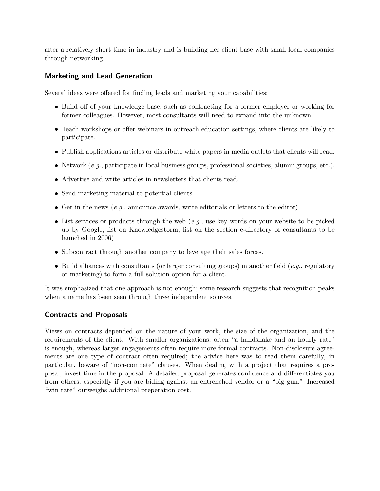after a relatively short time in industry and is building her client base with small local companies through networking.

#### Marketing and Lead Generation

Several ideas were offered for finding leads and marketing your capabilities:

- Build off of your knowledge base, such as contracting for a former employer or working for former colleagues. However, most consultants will need to expand into the unknown.
- Teach workshops or offer webinars in outreach education settings, where clients are likely to participate.
- Publish applications articles or distribute white papers in media outlets that clients will read.
- $\bullet$  Network (e.g., participate in local business groups, professional societies, alumni groups, etc.).
- Advertise and write articles in newsletters that clients read.
- Send marketing material to potential clients.
- Get in the news  $(e.g.,)$  announce awards, write editorials or letters to the editor).
- List services or products through the web  $(e.g.,$  use key words on your website to be picked up by Google, list on Knowledgestorm, list on the section e-directory of consultants to be launched in 2006)
- Subcontract through another company to leverage their sales forces.
- $\bullet$  Build alliances with consultants (or larger consulting groups) in another field (e.g., regulatory or marketing) to form a full solution option for a client.

It was emphasized that one approach is not enough; some research suggests that recognition peaks when a name has been seen through three independent sources.

#### Contracts and Proposals

Views on contracts depended on the nature of your work, the size of the organization, and the requirements of the client. With smaller organizations, often "a handshake and an hourly rate" is enough, whereas larger engagements often require more formal contracts. Non-disclosure agreements are one type of contract often required; the advice here was to read them carefully, in particular, beware of "non-compete" clauses. When dealing with a project that requires a proposal, invest time in the proposal. A detailed proposal generates confidence and differentiates you from others, especially if you are biding against an entrenched vendor or a "big gun." Increased "win rate" outweighs additional preperation cost.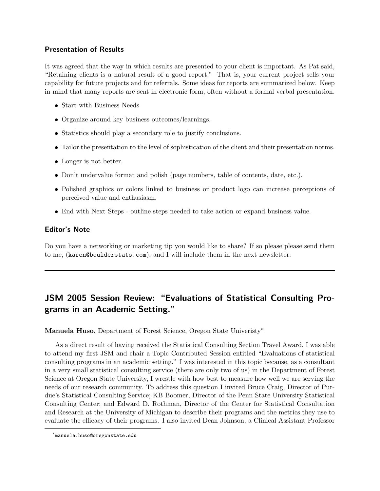#### Presentation of Results

It was agreed that the way in which results are presented to your client is important. As Pat said, "Retaining clients is a natural result of a good report." That is, your current project sells your capability for future projects and for referrals. Some ideas for reports are summarized below. Keep in mind that many reports are sent in electronic form, often without a formal verbal presentation.

- Start with Business Needs
- Organize around key business outcomes/learnings.
- Statistics should play a secondary role to justify conclusions.
- Tailor the presentation to the level of sophistication of the client and their presentation norms.
- Longer is not better.
- Don't undervalue format and polish (page numbers, table of contents, date, etc.).
- Polished graphics or colors linked to business or product logo can increase perceptions of perceived value and enthusiasm.
- End with Next Steps outline steps needed to take action or expand business value.

## Editor's Note

Do you have a networking or marketing tip you would like to share? If so please please send them to me, (karen@boulderstats.com), and I will include them in the next newsletter.

# JSM 2005 Session Review: "Evaluations of Statistical Consulting Programs in an Academic Setting."

Manuela Huso, Department of Forest Science, Oregon State Univeristy<sup>\*</sup>

As a direct result of having received the Statistical Consulting Section Travel Award, I was able to attend my first JSM and chair a Topic Contributed Session entitled "Evaluations of statistical consulting programs in an academic setting." I was interested in this topic because, as a consultant in a very small statistical consulting service (there are only two of us) in the Department of Forest Science at Oregon State University, I wrestle with how best to measure how well we are serving the needs of our research community. To address this question I invited Bruce Craig, Director of Purdue's Statistical Consulting Service; KB Boomer, Director of the Penn State University Statistical Consulting Center; and Edward D. Rothman, Director of the Center for Statistical Consultation and Research at the University of Michigan to describe their programs and the metrics they use to evaluate the efficacy of their programs. I also invited Dean Johnson, a Clinical Assistant Professor

<sup>∗</sup> manuela.huso@oregonstate.edu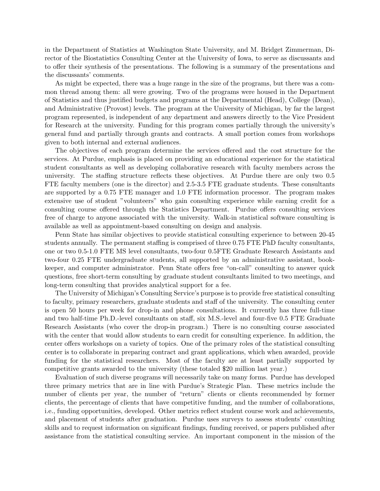in the Department of Statistics at Washington State University, and M. Bridget Zimmerman, Director of the Biostatistics Consulting Center at the University of Iowa, to serve as discussants and to offer their synthesis of the presentations. The following is a summary of the presentations and the discussants' comments.

As might be expected, there was a huge range in the size of the programs, but there was a common thread among them: all were growing. Two of the programs were housed in the Department of Statistics and thus justified budgets and programs at the Departmental (Head), College (Dean), and Administrative (Provost) levels. The program at the University of Michigan, by far the largest program represented, is independent of any department and answers directly to the Vice President for Research at the university. Funding for this program comes partially through the university's general fund and partially through grants and contracts. A small portion comes from workshops given to both internal and external audiences.

The objectives of each program determine the services offered and the cost structure for the services. At Purdue, emphasis is placed on providing an educational experience for the statistical student consultants as well as developing collaborative research with faculty members across the university. The staffing structure reflects these objectives. At Purdue there are only two 0.5 FTE faculty members (one is the director) and 2.5-3.5 FTE graduate students. These consultants are supported by a 0.75 FTE manager and 1.0 FTE information processor. The program makes extensive use of student "volunteers" who gain consulting experience while earning credit for a consulting course offered through the Statistics Department. Purdue offers consulting services free of charge to anyone associated with the university. Walk-in statistical software consulting is available as well as appointment-based consulting on design and analysis.

Penn State has similar objectives to provide statistical consulting experience to between 20-45 students annually. The permanent staffing is comprised of three 0.75 FTE PhD faculty consultants, one or two 0.5-1.0 FTE MS level consultants, two-four 0.5FTE Graduate Research Assistants and two-four 0.25 FTE undergraduate students, all supported by an administrative assistant, bookkeeper, and computer administrator. Penn State offers free "on-call" consulting to answer quick questions, free short-term consulting by graduate student consultants limited to two meetings, and long-term consulting that provides analytical support for a fee.

The University of Michigan's Consulting Service's purpose is to provide free statistical consulting to faculty, primary researchers, graduate students and staff of the university. The consulting center is open 50 hours per week for drop-in and phone consultations. It currently has three full-time and two half-time Ph.D.-level consultants on staff, six M.S.-level and four-five 0.5 FTE Graduate Research Assistants (who cover the drop-in program.) There is no consulting course associated with the center that would allow students to earn credit for consulting experience. In addition, the center offers workshops on a variety of topics. One of the primary roles of the statistical consulting center is to collaborate in preparing contract and grant applications, which when awarded, provide funding for the statistical researchers. Most of the faculty are at least partially supported by competitive grants awarded to the university (these totaled 20 million last year.)

Evaluation of such diverse programs will necessarily take on many forms. Purdue has developed three primary metrics that are in line with Purdue's Strategic Plan. These metrics include the number of clients per year, the number of "return" clients or clients recommended by former clients, the percentage of clients that have competitive funding, and the number of collaborations, i.e., funding opportunities, developed. Other metrics reflect student course work and achievements, and placement of students after graduation. Purdue uses surveys to assess students' consulting skills and to request information on significant findings, funding received, or papers published after assistance from the statistical consulting service. An important component in the mission of the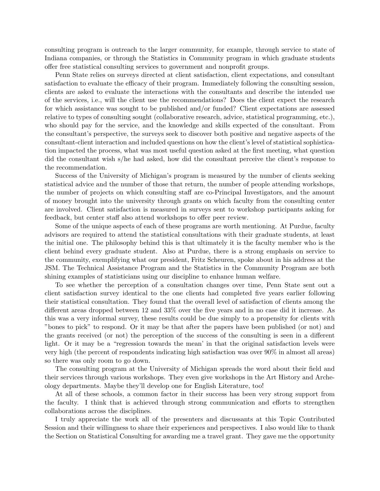consulting program is outreach to the larger community, for example, through service to state of Indiana companies, or through the Statistics in Community program in which graduate students offer free statistical consulting services to government and nonprofit groups.

Penn State relies on surveys directed at client satisfaction, client expectations, and consultant satisfaction to evaluate the efficacy of their program. Immediately following the consulting session, clients are asked to evaluate the interactions with the consultants and describe the intended use of the services, i.e., will the client use the recommendations? Does the client expect the research for which assistance was sought to be published and/or funded? Client expectations are assessed relative to types of consulting sought (collaborative research, advice, statistical programming, etc.), who should pay for the service, and the knowledge and skills expected of the consultant. From the consultant's perspective, the surveys seek to discover both positive and negative aspects of the consultant-client interaction and included questions on how the client's level of statistical sophistication impacted the process, what was most useful question asked at the first meeting, what question did the consultant wish s/he had asked, how did the consultant perceive the client's response to the recommendation.

Success of the University of Michigan's program is measured by the number of clients seeking statistical advice and the number of those that return, the number of people attending workshops, the number of projects on which consulting staff are co-Principal Investigators, and the amount of money brought into the university through grants on which faculty from the consulting center are involved. Client satisfaction is measured in surveys sent to workshop participants asking for feedback, but center staff also attend workshops to offer peer review.

Some of the unique aspects of each of these programs are worth mentioning. At Purdue, faculty advisors are required to attend the statistical consultations with their graduate students, at least the initial one. The philosophy behind this is that ultimately it is the faculty member who is the client behind every graduate student. Also at Purdue, there is a strong emphasis on service to the community, exemplifying what our president, Fritz Scheuren, spoke about in his address at the JSM. The Technical Assistance Program and the Statistics in the Community Program are both shining examples of statisticians using our discipline to enhance human welfare.

To see whether the perception of a consultation changes over time, Penn State sent out a client satisfaction survey identical to the one clients had completed five years earlier following their statistical consultation. They found that the overall level of satisfaction of clients among the different areas dropped between 12 and 33% over the five years and in no case did it increase. As this was a very informal survey, these results could be due simply to a propensity for clients with "bones to pick" to respond. Or it may be that after the papers have been published (or not) and the grants received (or not) the perception of the success of the consulting is seen in a different light. Or it may be a "regression towards the mean' in that the original satisfaction levels were very high (the percent of respondents indicating high satisfaction was over 90% in almost all areas) so there was only room to go down.

The consulting program at the University of Michigan spreads the word about their field and their services through various workshops. They even give workshops in the Art History and Archeology departments. Maybe they'll develop one for English Literature, too!

At all of these schools, a common factor in their success has been very strong support from the faculty. I think that is achieved through strong communication and efforts to strengthen collaborations across the disciplines.

I truly appreciate the work all of the presenters and discussants at this Topic Contributed Session and their willingness to share their experiences and perspectives. I also would like to thank the Section on Statistical Consulting for awarding me a travel grant. They gave me the opportunity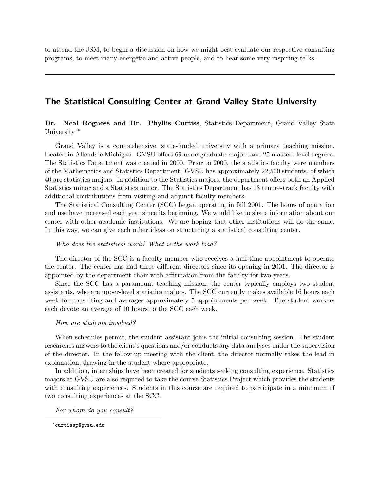to attend the JSM, to begin a discussion on how we might best evaluate our respective consulting programs, to meet many energetic and active people, and to hear some very inspiring talks.

## The Statistical Consulting Center at Grand Valley State University

Dr. Neal Rogness and Dr. Phyllis Curtiss, Statistics Department, Grand Valley State University<sup>\*</sup>

Grand Valley is a comprehensive, state-funded university with a primary teaching mission, located in Allendale Michigan. GVSU offers 69 undergraduate majors and 25 masters-level degrees. The Statistics Department was created in 2000. Prior to 2000, the statistics faculty were members of the Mathematics and Statistics Department. GVSU has approximately 22,500 students, of which 40 are statistics majors. In addition to the Statistics majors, the department offers both an Applied Statistics minor and a Statistics minor. The Statistics Department has 13 tenure-track faculty with additional contributions from visiting and adjunct faculty members.

The Statistical Consulting Center (SCC) began operating in fall 2001. The hours of operation and use have increased each year since its beginning. We would like to share information about our center with other academic institutions. We are hoping that other institutions will do the same. In this way, we can give each other ideas on structuring a statistical consulting center.

#### Who does the statistical work? What is the work-load?

The director of the SCC is a faculty member who receives a half-time appointment to operate the center. The center has had three different directors since its opening in 2001. The director is appointed by the department chair with affirmation from the faculty for two-years.

Since the SCC has a paramount teaching mission, the center typically employs two student assistants, who are upper-level statistics majors. The SCC currently makes available 16 hours each week for consulting and averages approximately 5 appointments per week. The student workers each devote an average of 10 hours to the SCC each week.

#### How are students involved?

When schedules permit, the student assistant joins the initial consulting session. The student researches answers to the client's questions and/or conducts any data analyses under the supervision of the director. In the follow-up meeting with the client, the director normally takes the lead in explanation, drawing in the student where appropriate.

In addition, internships have been created for students seeking consulting experience. Statistics majors at GVSU are also required to take the course Statistics Project which provides the students with consulting experiences. Students in this course are required to participate in a minimum of two consulting experiences at the SCC.

For whom do you consult?

<sup>∗</sup> curtissp@gvsu.edu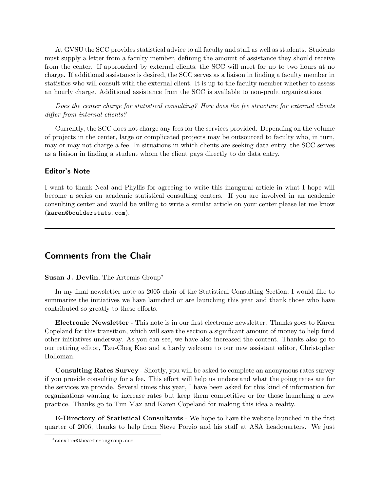At GVSU the SCC provides statistical advice to all faculty and staff as well as students. Students must supply a letter from a faculty member, defining the amount of assistance they should receive from the center. If approached by external clients, the SCC will meet for up to two hours at no charge. If additional assistance is desired, the SCC serves as a liaison in finding a faculty member in statistics who will consult with the external client. It is up to the faculty member whether to assess an hourly charge. Additional assistance from the SCC is available to non-profit organizations.

Does the center charge for statistical consulting? How does the fee structure for external clients differ from internal clients?

Currently, the SCC does not charge any fees for the services provided. Depending on the volume of projects in the center, large or complicated projects may be outsourced to faculty who, in turn, may or may not charge a fee. In situations in which clients are seeking data entry, the SCC serves as a liaison in finding a student whom the client pays directly to do data entry.

#### Editor's Note

I want to thank Neal and Phyllis for agreeing to write this inaugural article in what I hope will become a series on academic statistical consulting centers. If you are involved in an academic consulting center and would be willing to write a similar article on your center please let me know (karen@boulderstats.com).

## Comments from the Chair

#### Susan J. Devlin, The Artemis Group<sup>∗</sup>

In my final newsletter note as 2005 chair of the Statistical Consulting Section, I would like to summarize the initiatives we have launched or are launching this year and thank those who have contributed so greatly to these efforts.

Electronic Newsletter - This note is in our first electronic newsletter. Thanks goes to Karen Copeland for this transition, which will save the section a significant amount of money to help fund other initiatives underway. As you can see, we have also increased the content. Thanks also go to our retiring editor, Tzu-Cheg Kao and a hardy welcome to our new assistant editor, Christopher Holloman.

Consulting Rates Survey - Shortly, you will be asked to complete an anonymous rates survey if you provide consulting for a fee. This effort will help us understand what the going rates are for the services we provide. Several times this year, I have been asked for this kind of information for organizations wanting to increase rates but keep them competitive or for those launching a new practice. Thanks go to Tim Max and Karen Copeland for making this idea a reality.

E-Directory of Statistical Consultants - We hope to have the website launched in the first quarter of 2006, thanks to help from Steve Porzio and his staff at ASA headquarters. We just

<sup>∗</sup> sdevlin@theartemisgroup.com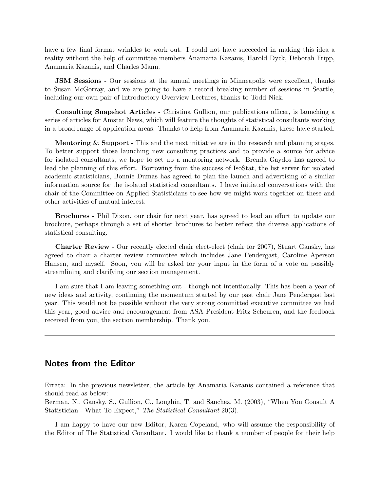have a few final format wrinkles to work out. I could not have succeeded in making this idea a reality without the help of committee members Anamaria Kazanis, Harold Dyck, Deborah Fripp, Anamaria Kazanis, and Charles Mann.

**JSM Sessions** - Our sessions at the annual meetings in Minneapolis were excellent, thanks to Susan McGorray, and we are going to have a record breaking number of sessions in Seattle, including our own pair of Introductory Overview Lectures, thanks to Todd Nick.

Consulting Snapshot Articles - Christina Gullion, our publications officer, is launching a series of articles for Amstat News, which will feature the thoughts of statistical consultants working in a broad range of application areas. Thanks to help from Anamaria Kazanis, these have started.

Mentoring & Support - This and the next initiative are in the research and planning stages. To better support those launching new consulting practices and to provide a source for advice for isolated consultants, we hope to set up a mentoring network. Brenda Gaydos has agreed to lead the planning of this effort. Borrowing from the success of IsoStat, the list server for isolated academic statisticians, Bonnie Dumas has agreed to plan the launch and advertising of a similar information source for the isolated statistical consultants. I have initiated conversations with the chair of the Committee on Applied Statisticians to see how we might work together on these and other activities of mutual interest.

Brochures - Phil Dixon, our chair for next year, has agreed to lead an effort to update our brochure, perhaps through a set of shorter brochures to better reflect the diverse applications of statistical consulting.

Charter Review - Our recently elected chair elect-elect (chair for 2007), Stuart Gansky, has agreed to chair a charter review committee which includes Jane Pendergast, Caroline Aperson Hansen, and myself. Soon, you will be asked for your input in the form of a vote on possibly streamlining and clarifying our section management.

I am sure that I am leaving something out - though not intentionally. This has been a year of new ideas and activity, continuing the momentum started by our past chair Jane Pendergast last year. This would not be possible without the very strong committed executive committee we had this year, good advice and encouragement from ASA President Fritz Scheuren, and the feedback received from you, the section membership. Thank you.

## Notes from the Editor

Errata: In the previous newsletter, the article by Anamaria Kazanis contained a reference that should read as below:

Berman, N., Gansky, S., Gullion, C., Loughin, T. and Sanchez, M. (2003), "When You Consult A Statistician - What To Expect," The Statistical Consultant 20(3).

I am happy to have our new Editor, Karen Copeland, who will assume the responsibility of the Editor of The Statistical Consultant. I would like to thank a number of people for their help